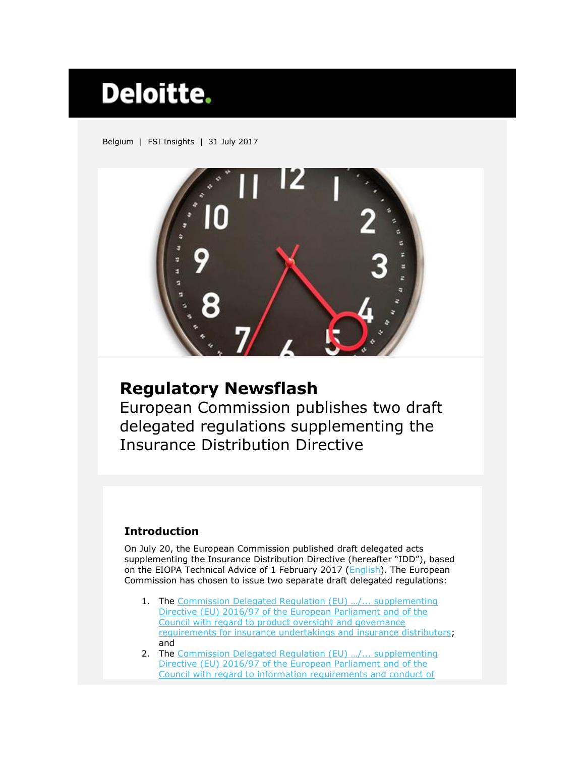# **Deloitte.**

Belgium | FSI Insights | 31 July 2017



## **Regulatory Newsflash**

European Commission publishes two draft delegated regulations supplementing the Insurance Distribution Directive

### **Introduction**

On July 20, the European Commission published draft delegated acts supplementing the Insurance Distribution Directive (hereafter "IDD"), based on the EIOPA Technical Advice of 1 February 2017 [\(English\).](https://eiopa.europa.eu/Publications/Reports/EIOPA%20Final_Report_on_IDD_Technical%20Advice.pdf) The European Commission has chosen to issue two separate draft delegated regulations:

- 1. The Commission Delegated Regulation (EU) .../... supplementing [Directive \(EU\) 2016/97 of the European Parliament and of the](http://ec.europa.eu/info/law/better-regulation/initiatives/ares-2017-3675955_en)  [Council with regard to product oversight and governance](http://ec.europa.eu/info/law/better-regulation/initiatives/ares-2017-3675955_en)  [requirements for insurance undertakings and insurance distributors;](http://ec.europa.eu/info/law/better-regulation/initiatives/ares-2017-3675955_en) and
- 2. The [Commission Delegated Regulation \(EU\) …/... supplementing](https://ec.europa.eu/info/law/better-regulation/initiatives/ares-2017-3670050_en)  [Directive \(EU\) 2016/97 of the European Parliament and of the](https://ec.europa.eu/info/law/better-regulation/initiatives/ares-2017-3670050_en)  [Council with regard to information requirements and conduct of](https://ec.europa.eu/info/law/better-regulation/initiatives/ares-2017-3670050_en)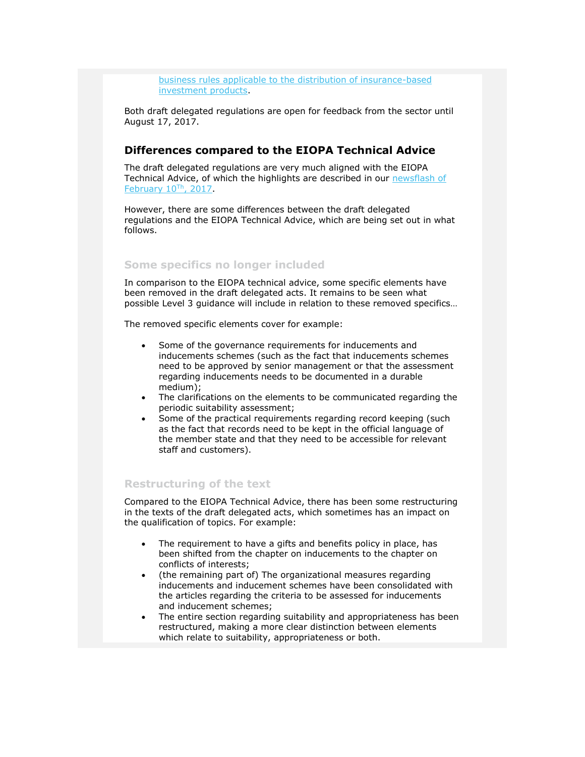[business rules applicable to the distribution of insurance-based](https://ec.europa.eu/info/law/better-regulation/initiatives/ares-2017-3670050_en)  [investment](https://ec.europa.eu/info/law/better-regulation/initiatives/ares-2017-3670050_en) products.

Both draft delegated regulations are open for feedback from the sector until August 17, 2017.

#### **Differences compared to the EIOPA Technical Advice**

The draft delegated regulations are very much aligned with the EIOPA Technical Advice, of which the highlights are described in our [newsflash of](https://www2.deloitte.com/content/dam/Deloitte/be/Documents/financial-services/regulatory-newsflashes/fsi-reg-newsflash-idd.pdf)  [February 10](https://www2.deloitte.com/content/dam/Deloitte/be/Documents/financial-services/regulatory-newsflashes/fsi-reg-newsflash-idd.pdf)Th, 2017.

However, there are some differences between the draft delegated regulations and the EIOPA Technical Advice, which are being set out in what follows.

#### **Some specifics no longer included**

In comparison to the EIOPA technical advice, some specific elements have been removed in the draft delegated acts. It remains to be seen what possible Level 3 guidance will include in relation to these removed specifics…

The removed specific elements cover for example:

- Some of the governance requirements for inducements and inducements schemes (such as the fact that inducements schemes need to be approved by senior management or that the assessment regarding inducements needs to be documented in a durable medium);
- The clarifications on the elements to be communicated regarding the periodic suitability assessment;
- Some of the practical requirements regarding record keeping (such as the fact that records need to be kept in the official language of the member state and that they need to be accessible for relevant staff and customers).

#### **Restructuring of the text**

Compared to the EIOPA Technical Advice, there has been some restructuring in the texts of the draft delegated acts, which sometimes has an impact on the qualification of topics. For example:

- The requirement to have a gifts and benefits policy in place, has been shifted from the chapter on inducements to the chapter on conflicts of interests;
- (the remaining part of) The organizational measures regarding inducements and inducement schemes have been consolidated with the articles regarding the criteria to be assessed for inducements and inducement schemes;
- The entire section regarding suitability and appropriateness has been restructured, making a more clear distinction between elements which relate to suitability, appropriateness or both.